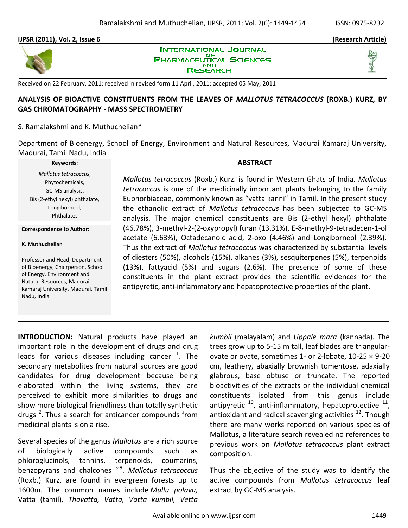#### **IJPSR (2011), Vol. 2, Issue 6 (Research Article)**



**INTERNATIONAL JOURNAL** OF **PHARMACEUTICAL SCIENCES AND** RESEARCH

Received on 22 February, 2011; received in revised form 11 April, 2011; accepted 05 May, 2011

# **ANALYSIS OF BIOACTIVE CONSTITUENTS FROM THE LEAVES OF** *MALLOTUS TETRACOCCUS* **(ROXB.) KURZ***,* **BY GAS CHROMATOGRAPHY - MASS SPECTROMETRY**

### S. Ramalakshmi and K. Muthuchelian\*

Department of Bioenergy, School of Energy, Environment and Natural Resources, Madurai Kamaraj University, Madurai, Tamil Nadu, India

#### **Keywords:**

*Mallotus tetracoccus*, Phytochemicals, GC-MS analysis, Bis (2-ethyl hexyl) phthalate, Longiborneol, Phthalates

**Correspondence to Author:**

#### **K. Muthuchelian**

Professor and Head, Department of Bioenergy, Chairperson, School of Energy, Environment and Natural Resources, Madurai Kamaraj University, Madurai, Tamil Nadu, India

#### **ABSTRACT**

*Mallotus tetracoccus* (Roxb.) Kurz. is found in Western Ghats of India. *Mallotus tetracoccus* is one of the medicinally important plants belonging to the family Euphorbiaceae, commonly known as "vatta kanni" in Tamil. In the present study the ethanolic extract of *Mallotus tetracoccus* has been subjected to GC-MS analysis. The major chemical constituents are Bis (2-ethyl hexyl) phthalate (46.78%), 3-methyl-2-(2-oxypropyl) furan (13.31%), E-8-methyl-9-tetradecen-1-ol acetate (6.63%), Octadecanoic acid, 2-oxo (4.46%) and Longiborneol (2.39%). Thus the extract of *Mallotus tetracoccus* was characterized by substantial levels of diesters (50%), alcohols (15%), alkanes (3%), sesquiterpenes (5%), terpenoids (13%), fattyacid (5%) and sugars (2.6%). The presence of some of these constituents in the plant extract provides the scientific evidences for the antipyretic, anti-inflammatory and hepatoprotective properties of the plant.

**INTRODUCTION:** Natural products have played an important role in the development of drugs and drug leads for various diseases including cancer  $^1$ . The secondary metabolites from natural sources are good candidates for drug development because being elaborated within the living systems, they are perceived to exhibit more similarities to drugs and show more biological friendliness than totally synthetic drugs<sup>2</sup>. Thus a search for anticancer compounds from medicinal plants is on a rise.

Several species of the genus *Mallotus* are a rich source of biologically active compounds such as phloroglucinols, tannins, terpenoids, coumarins, benzopyrans and chalcones 3-9 . *Mallotus tetracoccus* (Roxb.) Kurz, are found in evergreen forests up to 1600m. The common names include *Mullu polavu,*  Vatta (tamil)*, Thavatta, Vatta, Vatta kumbil, Vetta* 

*kumbil* (malayalam) and *Uppale mara* (kannada)*.* The trees grow up to 5-15 m tall, leaf blades are triangularovate or ovate, sometimes 1- or 2-lobate, 10-25 × 9-20 cm, leathery, abaxially brownish tomentose, adaxially glabrous, base obtuse or truncate. The reported bioactivities of the extracts or the individual chemical constituents isolated from this genus include antipyretic  $^{10}$ , anti-inflammatory, hepatoprotective  $^{11}$ , antioxidant and radical scavenging activities  $^{12}$ . Though there are many works reported on various species of Mallotus, a literature search revealed no references to previous work on *Mallotus tetracoccus* plant extract composition.

Thus the objective of the study was to identify the active compounds from *Mallotus tetracoccus* leaf extract by GC-MS analysis.

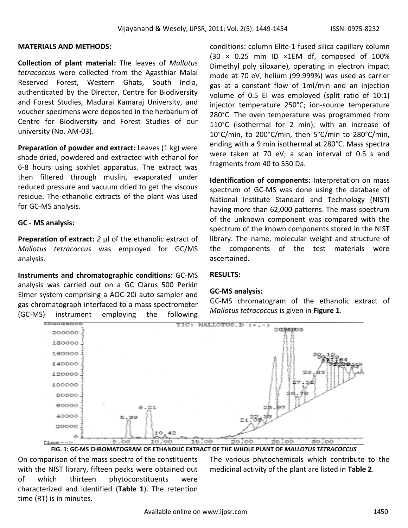### **MATERIALS AND METHODS:**

**Collection of plant material:** The leaves of *Mallotus tetracoccus* were collected from the Agasthiar Malai Reserved Forest, Western Ghats, South India, authenticated by the Director, Centre for Biodiversity and Forest Studies, Madurai Kamaraj University, and voucher specimens were deposited in the herbarium of Centre for Biodiversity and Forest Studies of our university (No. AM-03).

**Preparation of powder and extract:** Leaves (1 kg) were shade dried, powdered and extracted with ethanol for 6-8 hours using soxhlet apparatus. The extract was then filtered through muslin, evaporated under reduced pressure and vacuum dried to get the viscous residue. The ethanolic extracts of the plant was used for GC-MS analysis.

### **GC - MS analysis:**

**Preparation of extract:** *2* μl of the ethanolic extract of *Mallotus tetracoccus* was employed for GC/MS analysis.

**Instruments and chromatographic conditions:** GC-MS analysis was carried out on a GC Clarus 500 Perkin Elmer system comprising a AOC-20i auto sampler and gas chromatograph interfaced to a mass spectrometer (GC-MS) instrument employing the following

conditions: column Elite-1 fused silica capillary column (30 × 0.25 mm ID ×1EM df, composed of 100% Dimethyl poly siloxane), operating in electron impact mode at 70 eV; helium (99.999%) was used as carrier gas at a constant flow of 1ml/min and an injection volume of 0.5 EI was employed (split ratio of 10:1) injector temperature 250°C; ion-source temperature 280°C. The oven temperature was programmed from 110°C (isothermal for 2 min), with an increase of 10°C/min, to 200°C/min, then 5°C/min to 280°C/min, ending with a 9 min isothermal at 280°C. Mass spectra were taken at 70 eV; a scan interval of 0.5 s and fragments from 40 to 550 Da.

**Identification of components:** Interpretation on mass spectrum of GC-MS was done using the database of National Institute Standard and Technology (NIST) having more than 62,000 patterns. The mass spectrum of the unknown component was compared with the spectrum of the known components stored in the NIST library. The name, molecular weight and structure of the components of the test materials were ascertained.

## **RESULTS:**

### **GC-MS analysis:**

GC-MS chromatogram of the ethanolic extract of *Mallotus tetracoccus* is given in **Figure 1**.



**FIG. 1: GC-MS CHROMATOGRAM OF ETHANOLIC EXTRACT OF THE WHOLE PLANT OF** *MALLOTUS TETRACOCCUS*

On comparison of the mass spectra of the constituents with the NIST library, fifteen peaks were obtained out of which thirteen phytoconstituents were characterized and identified (**Table 1**). The retention time (RT) is in minutes.

The various phytochemicals which contribute to the medicinal activity of the plant are listed in **Table 2**.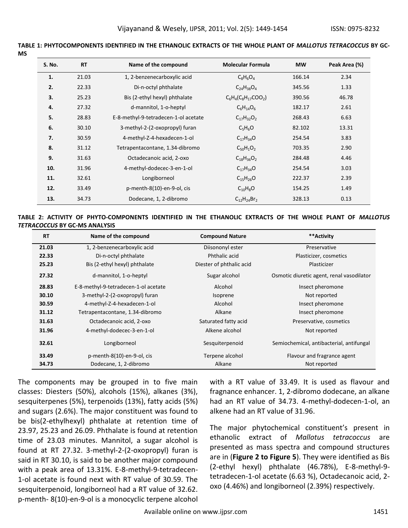| u | ٠ |  |
|---|---|--|

| S. No. | <b>RT</b> | Name of the compound                 | <b>Molecular Formula</b> | <b>MW</b> | Peak Area (%) |
|--------|-----------|--------------------------------------|--------------------------|-----------|---------------|
| 1.     | 21.03     | 1, 2-benzenecarboxylic acid          | $C_8H_6O_4$              | 166.14    | 2.34          |
| 2.     | 22.33     | Di-n-octyl phthalate                 | $C_{24}H_{38}O_4$        | 345.56    | 1.33          |
| 3.     | 25.23     | Bis (2-ethyl hexyl) phthalate        | $C_6H_4(C_8H_{17}COO_2)$ | 390.56    | 46.78         |
| 4.     | 27.32     | d-mannitol, 1-o-heptyl               | $C_6H_{14}O_6$           | 182.17    | 2.61          |
| 5.     | 28.83     | E-8-methyl-9-tetradecen-1-ol acetate | $C_{17}H_{32}O_2$        | 268.43    | 6.63          |
| 6.     | 30.10     | 3-methyl-2-(2-oxopropyl) furan       | $C_5H_6O$                | 82.102    | 13.31         |
| 7.     | 30.59     | 4-methyl-Z-4-hexadecen-1-ol          | $C_{17}H_{34}O$          | 254.54    | 3.83          |
| 8.     | 31.12     | Tetrapentacontane, 1.34-dibromo      | $C_{50}H_1O_2$           | 703.35    | 2.90          |
| 9.     | 31.63     | Octadecanoic acid, 2-oxo             | $C_{18}H_{36}O_2$        | 284.48    | 4.46          |
| 10.    | 31.96     | 4-methyl-dodecec-3-en-1-ol           | $C_{17}H_{34}O$          | 254.54    | 3.03          |
| 11.    | 32.61     | Longiborneol                         | $C_{15}H_{26}O$          | 222.37    | 2.39          |
| 12.    | 33.49     | p-menth-8(10)-en-9-ol, cis           | $C_{10}H_8O$             | 154.25    | 1.49          |
| 13.    | 34.73     | Dodecane, 1, 2-dibromo               | $C_{12}H_{24}Br_2$       | 328.13    | 0.13          |

**TABLE 1: PHYTOCOMPONENTS IDENTIFIED IN THE ETHANOLIC EXTRACTS OF THE WHOLE PLANT OF** *MALLOTUS TETRACOCCUS* **BY GC-**

#### **TABLE 2: ACTIVITY OF PHYTO-COMPONENTS IDENTIFIED IN THE ETHANOLIC EXTRACTS OF THE WHOLE PLANT OF** *MALLOTUS TETRACOCCUS* **BY GC-MS ANALYSIS**

| <b>RT</b> | Name of the compound                 | <b>Compound Nature</b>   | **Activity                                |  |
|-----------|--------------------------------------|--------------------------|-------------------------------------------|--|
| 21.03     | 1, 2-benzenecarboxylic acid          | Diisononyl ester         | Preservative                              |  |
| 22.33     | Di-n-octyl phthalate                 | Phthalic acid            | Plasticizer, cosmetics                    |  |
| 25.23     | Bis (2-ethyl hexyl) phthalate        | Diester of phthalic acid | Plasticizer                               |  |
| 27.32     | d-mannitol, 1-o-heptyl               | Sugar alcohol            | Osmotic diuretic agent, renal vasodilator |  |
| 28.83     | E-8-methyl-9-tetradecen-1-ol acetate | Alcohol                  | Insect pheromone                          |  |
| 30.10     | 3-methyl-2-(2-oxopropyl) furan       | Isoprene                 | Not reported                              |  |
| 30.59     | 4-methyl-Z-4-hexadecen-1-ol          | Alcohol                  | Insect pheromone                          |  |
| 31.12     | Tetrapentacontane, 1.34-dibromo      | Alkane                   | Insect pheromone                          |  |
| 31.63     | Octadecanoic acid, 2-oxo             | Saturated fatty acid     | Preservative, cosmetics                   |  |
| 31.96     | 4-methyl-dodecec-3-en-1-ol           | Alkene alcohol           | Not reported                              |  |
| 32.61     | Longiborneol                         | Sesquiterpenoid          | Semiochemical, antibacterial, antifungal  |  |
| 33.49     | p-menth-8(10)-en-9-ol, cis           | Terpene alcohol          | Flavour and fragrance agent               |  |
| 34.73     | Dodecane, 1, 2-dibromo               | Alkane                   | Not reported                              |  |

The components may be grouped in to five main classes: Diesters (50%), alcohols (15%), alkanes (3%), sesquiterpenes (5%), terpenoids (13%), fatty acids (5%) and sugars (2.6%). The major constituent was found to be bis(2-ethylhexyl) phthalate at retention time of 23.97, 25.23 and 26.09. Phthalate is found at retention time of 23.03 minutes. Mannitol, a sugar alcohol is found at RT 27.32. 3-methyl-2-(2-oxopropyl) furan is said in RT 30.10, is said to be another major compound with a peak area of 13.31%. E-8-methyl-9-tetradecen-1-ol acetate is found next with RT value of 30.59. The sesquiterpenoid, longiborneol had a RT value of 32.62. p-menth- 8(10)-en-9-ol is a monocyclic terpene alcohol

with a RT value of 33.49. It is used as flavour and fragnance enhancer. 1, 2-dibromo dodecane, an alkane had an RT value of 34.73. 4-methyl-dodecen-1-ol, an alkene had an RT value of 31.96.

The major phytochemical constituent's present in ethanolic extract of *Mallotus tetracoccus* are presented as mass spectra and compound structures are in (**Figure 2 to Figure 5**). They were identified as Bis (2-ethyl hexyl) phthalate (46.78%), E-8-methyl-9 tetradecen-1-ol acetate (6.63 %), Octadecanoic acid, 2 oxo (4.46%) and longiborneol (2.39%) respectively.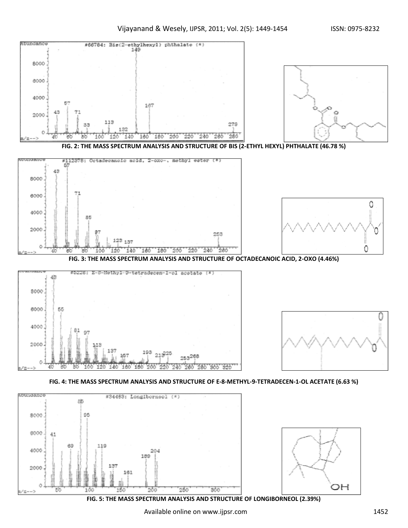Π





**FIG. 2: THE MASS SPECTRUM ANALYSIS AND STRUCTURE OF BIS (2-ETHYL HEXYL) PHTHALATE (46.78 %)**



**FIG. 3: THE MASS SPECTRUM ANALYSIS AND STRUCTURE OF OCTADECANOIC ACID, 2-OXO (4.46%)**





#### **FIG. 4: THE MASS SPECTRUM ANALYSIS AND STRUCTURE OF E-8-METHYL-9-TETRADECEN-1-OL ACETATE (6.63 %)**





**FIG. 5: THE MASS SPECTRUM ANALYSIS AND STRUCTURE OF LONGIBORNEOL (2.39%)**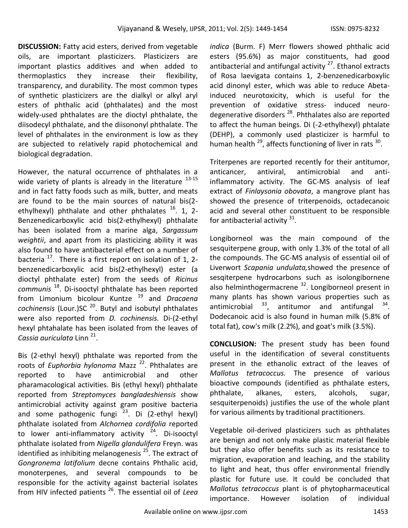**DISCUSSION:** Fatty acid esters, derived from vegetable oils, are important plasticizers. Plasticizers are important plastics additives and when added to thermoplastics they increase their flexibility, transparency, and durability. The most common types of synthetic plasticizers are the dialkyl or alkyl aryl esters of phthalic acid (phthalates) and the most widely-used phthalates are the dioctyl phthalate, the diisodecyl phthalate, and the diisononyl phthalate. The level of phthalates in the environment is low as they are subjected to relatively rapid photochemical and biological degradation.

However, the natural occurrence of phthalates in a wide variety of plants is already in the literature  $13-15$ and in fact fatty foods such as milk, butter, and meats are found to be the main sources of natural bis(2 ethylhexyl) phthalate and other phthalates  $^{16}$ . 1, 2-Benzenedicarboxylic acid bis(2-ethylhexyl) phthalate has been isolated from a marine alga, *Sargassum weightii*, and apart from its plasticizing ability it was also found to have antibacterial effect on a number of bacteria  $17$ . There is a first report on isolation of 1, 2benzenedicarboxylic acid bis(2-ethylhexyl) ester (a dioctyl phthalate ester) from the seeds of *Ricinus communis* <sup>18</sup>. Di-isooctyl phthalate has been reported from Limonium bicolour Kuntze <sup>19</sup> and *Dracaena cochinensis* (Lour.)SC <sup>20</sup>. Butyl and isobutyl phthalates were also reported from *D. cochinensis.* Di-(2-ethyl hexyl phtahalate has been isolated from the leaves of Cassia auriculata Linn <sup>21</sup>.

Bis (2-ethyl hexyl) phthalate was reported from the roots of *Euphorbia hylonoma* Mazz<sup>22</sup>. Phthalates are<br>reported to have antimicrobial and other reported to have antimicrobial and other pharamacological activities. Bis (ethyl hexyl) phthalate reported from *Streptomyces bangladeshiensis* show antimicrobial activity against gram positive bacteria and some pathogenic fungi <sup>23</sup>. Di (2-ethyl hexyl) phthalate isolated from *Alchornea cordifolia* reported to lower anti-inflammatory activity  $24$ . Di-isooctyl phthalate isolated from *Nigella glandulifera* Freyn. was identified as inhibiting melanogenesis  $25$ . The extract of *Gongronema latifolium* decne contains Phthalic acid, monoterpenes, and several compounds to be responsible for the activity against bacterial isolates from HIV infected patients <sup>26</sup>. The essential oil of *Leea*  *indica* (Burm. F) Merr flowers showed phthalic acid esters (95.6%) as major constituents, had good antibacterial and antifungal activity  $27$ . Ethanol extracts of Rosa laevigata contains 1, 2-benzenedicarboxylic acid dinonyl ester, which was able to reduce Abetainduced neurotoxicity, which is useful for the prevention of oxidative stress- induced neurodegenerative disorders <sup>28</sup>. Phthalates also are reported to affect the human beings. Di (-2-ethylhexyl) phtalate (DEHP), a commonly used plasticizer is harmful to human health <sup>29</sup>, affects functioning of liver in rats <sup>30</sup>.

Triterpenes are reported recently for their antitumor, anticancer, antiviral, antimicrobial and antiinflammatory activity. The GC-MS analysis of leaf extract of *Finlaysonia obovata*, a mangrove plant has showed the presence of triterpenoids, octadecanoic acid and several other constituent to be responsible for antibacterial activity <sup>31</sup>.

Longiborneol was the main compound of the sesquiterpene group, with only 1.3% of the total of all the compounds. The GC-MS analysis of essential oil of Liverwort *Scapania undulata,*showed the presence of sesqiterpene hydrocarbons such as isolongibornene also helminthogermacrene<sup>32</sup>. Longiborneol present in many plants has shown various properties such as antimicrobial  $^{33}$ , antitumor and antifungal  $^{34}$ . Dodecanoic acid is also found in human milk (5.8% of total fat), cow's milk (2.2%), and goat's milk (3.5%).

**CONCLUSION:** The present study has been found useful in the identification of several constituents present in the ethanolic extract of the leaves of *Mallotus tetracoccus.* The presence of various bioactive compounds (identified as phthalate esters, phthalate, alkanes, esters, alcohols, sugar, sesquiterpenoids) justifies the use of the whole plant for various ailments by traditional practitioners.

Vegetable oil-derived plasticizers such as phthalates are benign and not only make plastic material flexible but they also offer benefits such as its resistance to migration, evaporation and leaching, and the stability to light and heat, thus offer environmental friendly plastic for future use. It could be concluded that *Mallotus tetracoccus* plant is of phytopharmaceutical importance. However isolation of individual